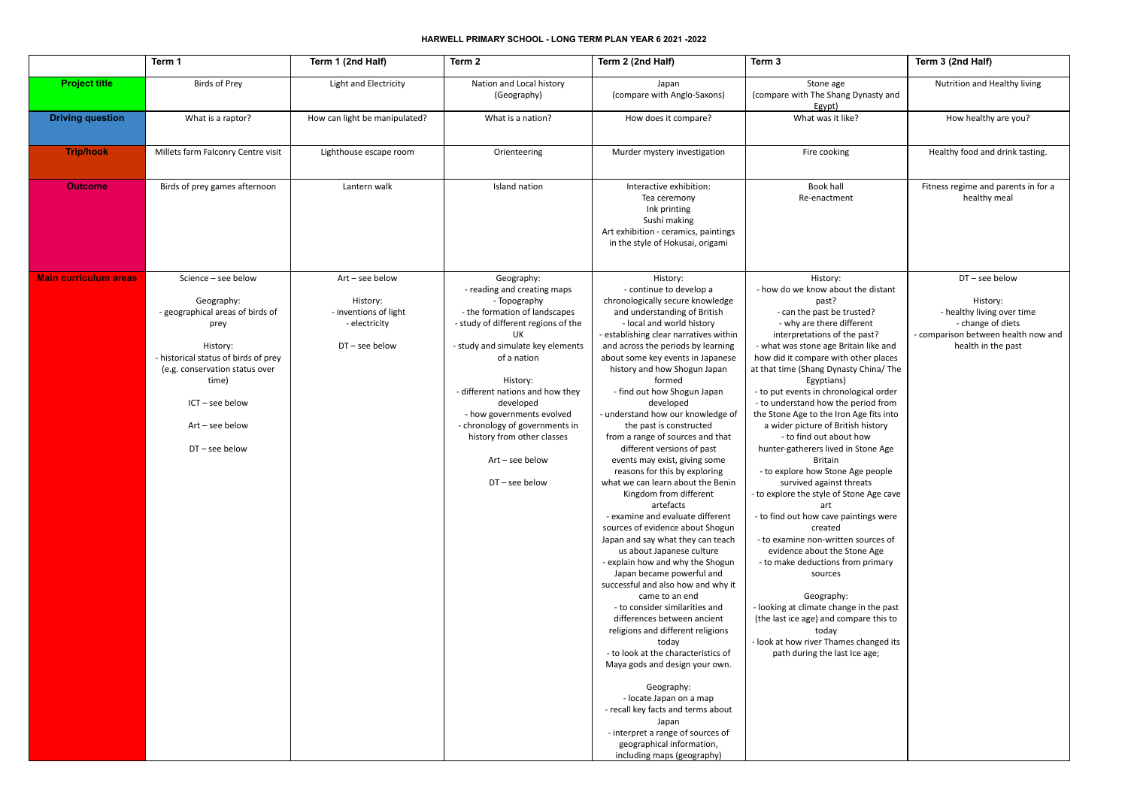## **HARWELL PRIMARY SCHOOL - LONG TERM PLAN YEAR 6 2021 -2022**

|                              | Term 1                                                                                                                                                                                                                             | Term 1 (2nd Half)                                                                         | Term 2                                                                                                                                                                                                                                                                                                                                                                                     | Term 2 (2nd Half)                                                                                                                                                                                                                                                                                                                                                                                                                                                                                                                                                                                                                                                                                                                                                                                                                                                                                                                                                                                                                                                                                                                                                                                                                                                                  | Term 3                                                                                                                                                                                                                                                                                                                                                                                                                                                                                                                                                                                                                                                                                                                                                                                                                                                                                                                                                                                                                           | Term 3 (2nd Half)                                                                                                                            |
|------------------------------|------------------------------------------------------------------------------------------------------------------------------------------------------------------------------------------------------------------------------------|-------------------------------------------------------------------------------------------|--------------------------------------------------------------------------------------------------------------------------------------------------------------------------------------------------------------------------------------------------------------------------------------------------------------------------------------------------------------------------------------------|------------------------------------------------------------------------------------------------------------------------------------------------------------------------------------------------------------------------------------------------------------------------------------------------------------------------------------------------------------------------------------------------------------------------------------------------------------------------------------------------------------------------------------------------------------------------------------------------------------------------------------------------------------------------------------------------------------------------------------------------------------------------------------------------------------------------------------------------------------------------------------------------------------------------------------------------------------------------------------------------------------------------------------------------------------------------------------------------------------------------------------------------------------------------------------------------------------------------------------------------------------------------------------|----------------------------------------------------------------------------------------------------------------------------------------------------------------------------------------------------------------------------------------------------------------------------------------------------------------------------------------------------------------------------------------------------------------------------------------------------------------------------------------------------------------------------------------------------------------------------------------------------------------------------------------------------------------------------------------------------------------------------------------------------------------------------------------------------------------------------------------------------------------------------------------------------------------------------------------------------------------------------------------------------------------------------------|----------------------------------------------------------------------------------------------------------------------------------------------|
| <b>Project title</b>         | <b>Birds of Prey</b>                                                                                                                                                                                                               | Light and Electricity                                                                     | Nation and Local history<br>(Geography)                                                                                                                                                                                                                                                                                                                                                    | Japan<br>(compare with Anglo-Saxons)                                                                                                                                                                                                                                                                                                                                                                                                                                                                                                                                                                                                                                                                                                                                                                                                                                                                                                                                                                                                                                                                                                                                                                                                                                               | Stone age<br>(compare with The Shang Dynasty and<br>Egypt)                                                                                                                                                                                                                                                                                                                                                                                                                                                                                                                                                                                                                                                                                                                                                                                                                                                                                                                                                                       | Nutrition and Healthy living                                                                                                                 |
| <b>Driving question</b>      | What is a raptor?                                                                                                                                                                                                                  | How can light be manipulated?                                                             | What is a nation?                                                                                                                                                                                                                                                                                                                                                                          | How does it compare?                                                                                                                                                                                                                                                                                                                                                                                                                                                                                                                                                                                                                                                                                                                                                                                                                                                                                                                                                                                                                                                                                                                                                                                                                                                               | What was it like?                                                                                                                                                                                                                                                                                                                                                                                                                                                                                                                                                                                                                                                                                                                                                                                                                                                                                                                                                                                                                | How healthy are you?                                                                                                                         |
| <b>Trip/hook</b>             | Millets farm Falconry Centre visit                                                                                                                                                                                                 | Lighthouse escape room                                                                    | Orienteering                                                                                                                                                                                                                                                                                                                                                                               | Murder mystery investigation                                                                                                                                                                                                                                                                                                                                                                                                                                                                                                                                                                                                                                                                                                                                                                                                                                                                                                                                                                                                                                                                                                                                                                                                                                                       | Fire cooking                                                                                                                                                                                                                                                                                                                                                                                                                                                                                                                                                                                                                                                                                                                                                                                                                                                                                                                                                                                                                     | Healthy food and drink tasting.                                                                                                              |
| <b>Outcome</b>               | Birds of prey games afternoon                                                                                                                                                                                                      | Lantern walk                                                                              | Island nation                                                                                                                                                                                                                                                                                                                                                                              | Interactive exhibition:<br>Tea ceremony<br>Ink printing<br>Sushi making<br>Art exhibition - ceramics, paintings<br>in the style of Hokusai, origami                                                                                                                                                                                                                                                                                                                                                                                                                                                                                                                                                                                                                                                                                                                                                                                                                                                                                                                                                                                                                                                                                                                                | Book hall<br>Re-enactment                                                                                                                                                                                                                                                                                                                                                                                                                                                                                                                                                                                                                                                                                                                                                                                                                                                                                                                                                                                                        | Fitness regime and parents in for a<br>healthy meal                                                                                          |
| <b>Main curriculum areas</b> | Science - see below<br>Geography:<br>- geographical areas of birds of<br>prey<br>History:<br>- historical status of birds of prey<br>(e.g. conservation status over<br>time)<br>ICT - see below<br>Art - see below<br>DT-see below | Art - see below<br>History:<br>- inventions of light<br>- electricity<br>$DT$ – see below | Geography:<br>- reading and creating maps<br>- Topography<br>- the formation of landscapes<br>- study of different regions of the<br>UK<br>- study and simulate key elements<br>of a nation<br>History:<br>- different nations and how they<br>developed<br>- how governments evolved<br>- chronology of governments in<br>history from other classes<br>$Art - see below$<br>DT-see below | History:<br>- continue to develop a<br>chronologically secure knowledge<br>and understanding of British<br>- local and world history<br>- establishing clear narratives within<br>and across the periods by learning<br>about some key events in Japanese<br>history and how Shogun Japan<br>formed<br>- find out how Shogun Japan<br>developed<br>- understand how our knowledge of<br>the past is constructed<br>from a range of sources and that<br>different versions of past<br>events may exist, giving some<br>reasons for this by exploring<br>what we can learn about the Benin<br>Kingdom from different<br>artefacts<br>- examine and evaluate different<br>sources of evidence about Shogun<br>Japan and say what they can teach<br>us about Japanese culture<br>- explain how and why the Shogun<br>Japan became powerful and<br>successful and also how and why it<br>came to an end<br>- to consider similarities and<br>differences between ancient<br>religions and different religions<br>today<br>- to look at the characteristics of<br>Maya gods and design your own.<br>Geography:<br>- locate Japan on a map<br>- recall key facts and terms about<br>Japan<br>- interpret a range of sources of<br>geographical information,<br>including maps (geography) | History:<br>- how do we know about the distant<br>past?<br>- can the past be trusted?<br>- why are there different<br>interpretations of the past?<br>- what was stone age Britain like and<br>how did it compare with other places<br>at that time (Shang Dynasty China/ The<br>Egyptians)<br>- to put events in chronological order<br>- to understand how the period from<br>the Stone Age to the Iron Age fits into<br>a wider picture of British history<br>- to find out about how<br>hunter-gatherers lived in Stone Age<br>Britain<br>- to explore how Stone Age people<br>survived against threats<br>- to explore the style of Stone Age cave<br>art<br>- to find out how cave paintings were<br>created<br>- to examine non-written sources of<br>evidence about the Stone Age<br>- to make deductions from primary<br>sources<br>Geography:<br>- looking at climate change in the past<br>(the last ice age) and compare this to<br>today<br>- look at how river Thames changed its<br>path during the last Ice age; | $DT$ – see below<br>History:<br>- healthy living over time<br>- change of diets<br>- comparison between health now and<br>health in the past |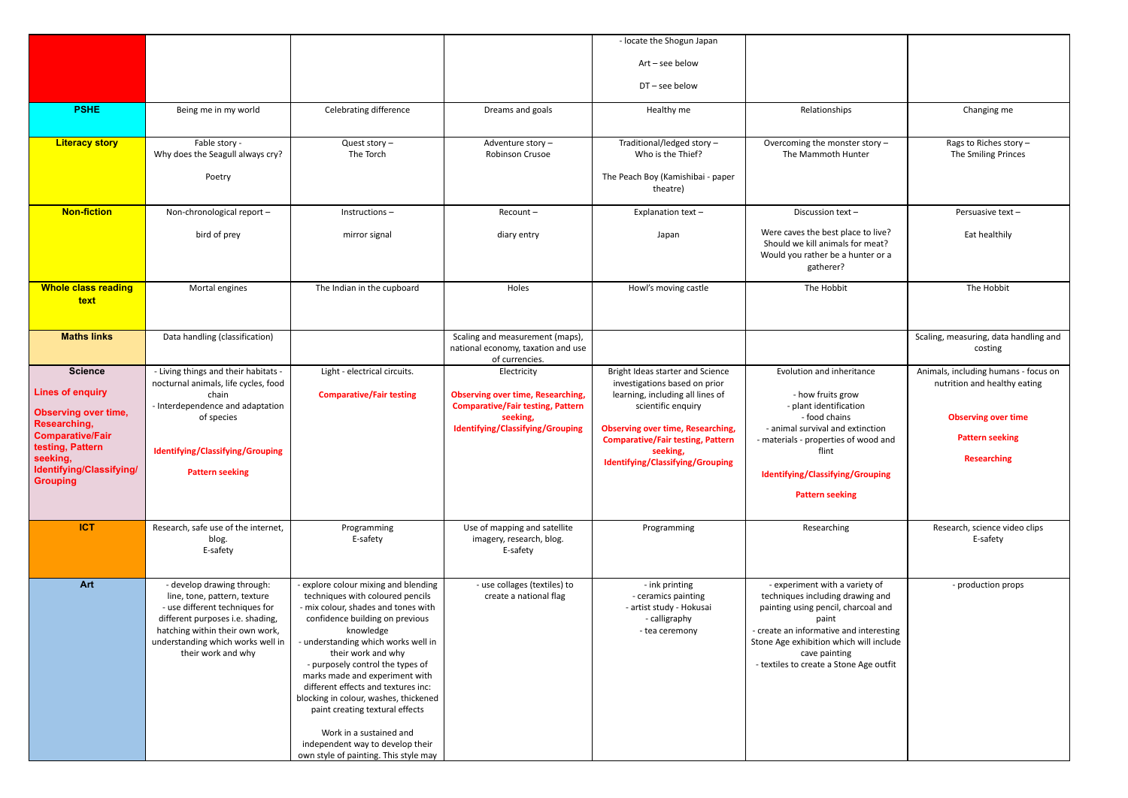|                                                                                                                                                                                                                                |                                                                                                                                                                                                                                                                                                                                                                                                                                                                                      |                                                                                                                                                     | - locate the Shogun Japan                                                                                                                                                                                                       |                                                                                                                                                                                                                                                                      |                                                                                                                                                    |
|--------------------------------------------------------------------------------------------------------------------------------------------------------------------------------------------------------------------------------|--------------------------------------------------------------------------------------------------------------------------------------------------------------------------------------------------------------------------------------------------------------------------------------------------------------------------------------------------------------------------------------------------------------------------------------------------------------------------------------|-----------------------------------------------------------------------------------------------------------------------------------------------------|---------------------------------------------------------------------------------------------------------------------------------------------------------------------------------------------------------------------------------|----------------------------------------------------------------------------------------------------------------------------------------------------------------------------------------------------------------------------------------------------------------------|----------------------------------------------------------------------------------------------------------------------------------------------------|
|                                                                                                                                                                                                                                |                                                                                                                                                                                                                                                                                                                                                                                                                                                                                      |                                                                                                                                                     | Art - see below                                                                                                                                                                                                                 |                                                                                                                                                                                                                                                                      |                                                                                                                                                    |
|                                                                                                                                                                                                                                |                                                                                                                                                                                                                                                                                                                                                                                                                                                                                      |                                                                                                                                                     | DT-see below                                                                                                                                                                                                                    |                                                                                                                                                                                                                                                                      |                                                                                                                                                    |
| Being me in my world                                                                                                                                                                                                           | Celebrating difference                                                                                                                                                                                                                                                                                                                                                                                                                                                               | Dreams and goals                                                                                                                                    | Healthy me                                                                                                                                                                                                                      | Relationships                                                                                                                                                                                                                                                        | Changing me                                                                                                                                        |
| Fable story -<br>Why does the Seagull always cry?                                                                                                                                                                              | Quest story $-$<br>The Torch                                                                                                                                                                                                                                                                                                                                                                                                                                                         | Adventure story-<br>Robinson Crusoe                                                                                                                 | Traditional/ledged story -<br>Who is the Thief?                                                                                                                                                                                 | Overcoming the monster story -<br>The Mammoth Hunter                                                                                                                                                                                                                 | Rags to Riches story -<br>The Smiling Princes                                                                                                      |
| Poetry                                                                                                                                                                                                                         |                                                                                                                                                                                                                                                                                                                                                                                                                                                                                      |                                                                                                                                                     | The Peach Boy (Kamishibai - paper<br>theatre)                                                                                                                                                                                   |                                                                                                                                                                                                                                                                      |                                                                                                                                                    |
| Non-chronological report -                                                                                                                                                                                                     | Instructions-                                                                                                                                                                                                                                                                                                                                                                                                                                                                        | Recount-                                                                                                                                            | Explanation text-                                                                                                                                                                                                               | Discussion text-                                                                                                                                                                                                                                                     | Persuasive text-                                                                                                                                   |
| bird of prey                                                                                                                                                                                                                   | mirror signal                                                                                                                                                                                                                                                                                                                                                                                                                                                                        | diary entry                                                                                                                                         | Japan                                                                                                                                                                                                                           | Were caves the best place to live?<br>Should we kill animals for meat?<br>Would you rather be a hunter or a<br>gatherer?                                                                                                                                             | Eat healthily                                                                                                                                      |
| Mortal engines                                                                                                                                                                                                                 | The Indian in the cupboard                                                                                                                                                                                                                                                                                                                                                                                                                                                           | Holes                                                                                                                                               | Howl's moving castle                                                                                                                                                                                                            | The Hobbit                                                                                                                                                                                                                                                           | The Hobbit                                                                                                                                         |
| Data handling (classification)                                                                                                                                                                                                 |                                                                                                                                                                                                                                                                                                                                                                                                                                                                                      | Scaling and measurement (maps),<br>national economy, taxation and use<br>of currencies.                                                             |                                                                                                                                                                                                                                 |                                                                                                                                                                                                                                                                      | Scaling, measuring, data handling and<br>costing                                                                                                   |
| - Living things and their habitats -<br>nocturnal animals, life cycles, food<br>chain<br>- Interdependence and adaptation<br>of species<br>Identifying/Classifying/Grouping                                                    | Light - electrical circuits.<br><b>Comparative/Fair testing</b>                                                                                                                                                                                                                                                                                                                                                                                                                      | Electricity<br><b>Observing over time, Researching,</b><br><b>Comparative/Fair testing, Pattern</b><br>seeking,<br>Identifying/Classifying/Grouping | Bright Ideas starter and Science<br>investigations based on prior<br>learning, including all lines of<br>scientific enquiry<br><b>Observing over time, Researching,</b><br><b>Comparative/Fair testing, Pattern</b><br>seeking, | Evolution and inheritance<br>- how fruits grow<br>- plant identification<br>- food chains<br>- animal survival and extinction<br>- materials - properties of wood and<br>flint                                                                                       | Animals, including humans - focus on<br>nutrition and healthy eating<br><b>Observing over time</b><br><b>Pattern seeking</b><br><b>Researching</b> |
| <b>Pattern seeking</b>                                                                                                                                                                                                         |                                                                                                                                                                                                                                                                                                                                                                                                                                                                                      |                                                                                                                                                     |                                                                                                                                                                                                                                 | <b>Identifying/Classifying/Grouping</b><br><b>Pattern seeking</b>                                                                                                                                                                                                    |                                                                                                                                                    |
| Research, safe use of the internet,<br>blog.<br>E-safety                                                                                                                                                                       | Programming<br>E-safety                                                                                                                                                                                                                                                                                                                                                                                                                                                              | Use of mapping and satellite<br>imagery, research, blog.<br>E-safety                                                                                | Programming                                                                                                                                                                                                                     | Researching                                                                                                                                                                                                                                                          | Research, science video clips<br>E-safety                                                                                                          |
| - develop drawing through:<br>line, tone, pattern, texture<br>- use different techniques for<br>different purposes i.e. shading,<br>hatching within their own work,<br>understanding which works well in<br>their work and why | - explore colour mixing and blending<br>techniques with coloured pencils<br>- mix colour, shades and tones with<br>confidence building on previous<br>knowledge<br>- understanding which works well in<br>their work and why<br>- purposely control the types of<br>marks made and experiment with<br>different effects and textures inc:<br>blocking in colour, washes, thickened<br>paint creating textural effects<br>Work in a sustained and<br>independent way to develop their | - use collages (textiles) to<br>create a national flag                                                                                              | - ink printing<br>- ceramics painting<br>- artist study - Hokusai<br>- calligraphy<br>- tea ceremony                                                                                                                            | - experiment with a variety of<br>techniques including drawing and<br>painting using pencil, charcoal and<br>paint<br>- create an informative and interesting<br>Stone Age exhibition which will include<br>cave painting<br>- textiles to create a Stone Age outfit | - production props                                                                                                                                 |
|                                                                                                                                                                                                                                |                                                                                                                                                                                                                                                                                                                                                                                                                                                                                      | own style of painting. This style may                                                                                                               |                                                                                                                                                                                                                                 | <b>Identifying/Classifying/Grouping</b>                                                                                                                                                                                                                              |                                                                                                                                                    |